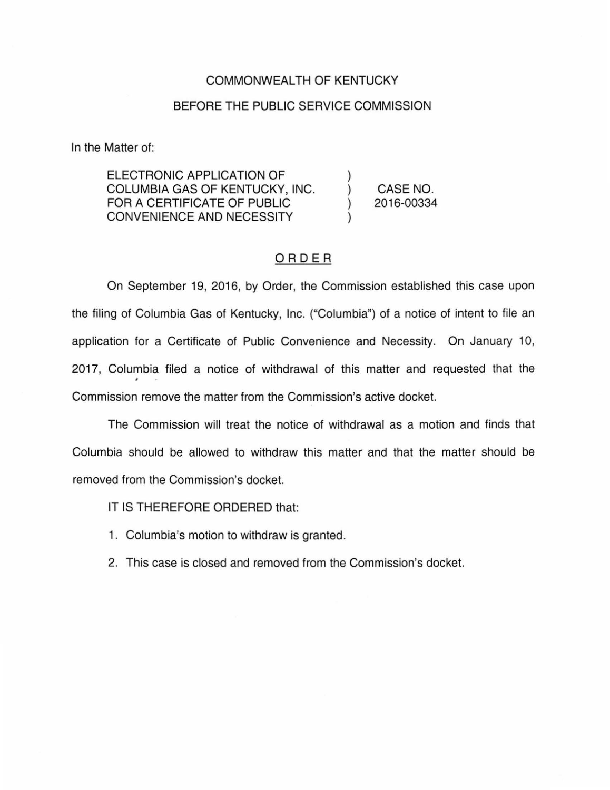## COMMONWEALTH OF KENTUCKY

## BEFORE THE PUBLIC SERVICE COMMISSION

In the Matter of:

ELECTRONIC APPLICATION OF COLUMBIA GAS OF KENTUCKY, INC. FOR A CERTIFICATE OF PUBLIC CONVENIENCE AND NECESSITY )  $\mathcal{L}$ ) ) CASE NO. 2016-00334

## ORDER

On September 19, 2016, by Order, the Commission established this case upon the filing of Columbia Gas of Kentucky, Inc. ("Columbia") of a notice of intent to file an application for a Certificate of Public Convenience and Necessity. On January 10, 2017, Columbia filed a notice of withdrawal of this matter and requested that the • Commission remove the matter from the Commission's active docket.

The Commission will treat the notice of withdrawal as a motion and finds that Columbia should be allowed to withdraw this matter and that the matter should be removed from the Commission's docket.

IT IS THEREFORE ORDERED that:

- 1. Columbia's motion to withdraw is granted.
- 2. This case is closed and removed from the Commission's docket.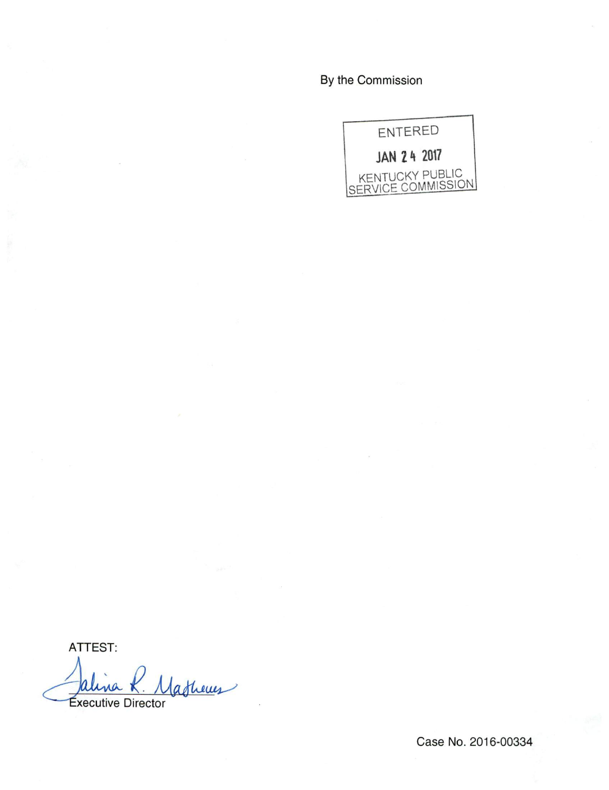By the Commission



ATTEST:

Jalina R. Masheues na

Case No. 2016-00334